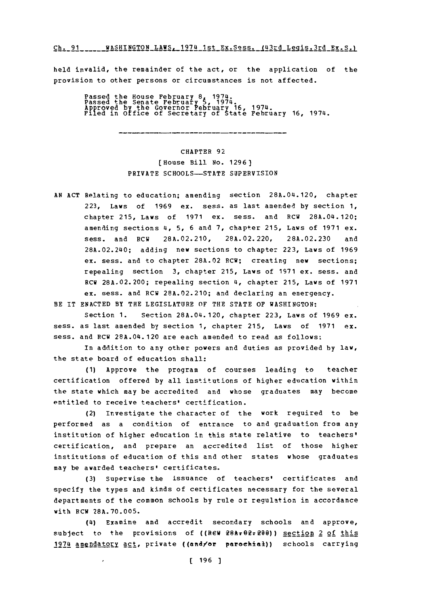WASHINGTON **LAWS.** 1974 1st Ex.Sess. (43rd Leais.3rd **Ex.S.) Ch. 91**

held invalid, the remainder of the act, or the application of the provision to other persons or circumstances is not affected.

Passed the House February 8, 1974.<br>Passed the Senate February 5, 1974.<br>Approved by the Governor Pebruary 16, 1974.<br>Filed in Office of Secretary of State February 16, 1974.

CHAPTER **92** [House Bill **No. 1296)** PRIVATE **SCHOOLS-STATE** SUPERVISION

**AN ACT** Relating to education; amending section 28A.04.120, chapter **223,** Laws of **1969** ex. sess. as last amended **by** section **1,** chapter **215,** Laws of **1971** ex. sess. and RCW 28A.04.120; amending sections 4, **5, 6** and **7,** chapter **215,** Laws of **1971** ex. sess. and RCW **28A.02.210, 28A.02.220, 28A.02.230** and 28A.02.240; adding new sections to chapter **223,** Laws of **1969** ex. sess. and to chapter **28A.02** RCW; creating new sections; repealing section **3,** chapter **215,** Laws of **1971** ex. sess. and RCW **28A.02.200;** repealing section 4, chapter **215,** Laws of **1971** ex. sess. and RCW **28A.02.210;** and declaring an emergency.

BE IT **ENACTED** BY THE LEGISLATURE OF THE **STATE** OF WASHINGTON:

Section **1.** Section 28A.04.120, chapter **223,** Laws of **1969** ex. sess. as last amended **by** section **1,** chapter **215,** Laws of **1971 ex.** sess. and RCW 28A.04.120 are each amended to read as follows:

In addition to any other powers and duties as provided **by** law, the state board of education shall:

**(1)** Approve the program of courses leading to teacher certification offered **by** all institutions of higher education within the state which may be accredited and whose graduates may become entitled to receive teachers' certification.

(2) Investigate the character of the work required to be performed as a condition of entrance to and graduation from any institution of higher education in this state relative to teachers' certification, and prepare an accredited list of those higher institutions of education of this and other states whose graduates may be awarded teachers' certificates.

**(3)** Supervise the issuance of teachers' certificates and specify the types and kinds of certificates necessary for the several departments of the common schools **by** rule or regulation in accordance with RCW **28A.70.005.**

(4) Examine and accredit secondary schools and approve, subject to the provisions of ((REW 28Ar02:200)) section 2 of this 1974 amendatory act, private ((and/or parochial)) schools carrying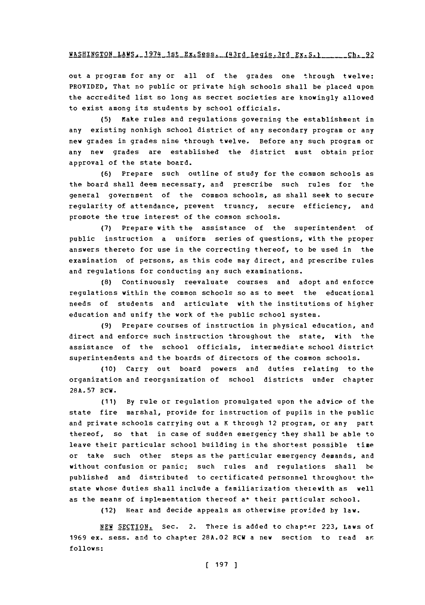out a program for any or all of the grades one through twelve: PROVIDED, That no public or private high schools shall be placed upon the accredited list so long as secret societies are knowingly allowed to exist among its students **by** school officials.

**(5)** Make rules and regulations governing the establishment in any existing nonhigh school district of any secondary program or any new grades in grades nine through twelve. Before any such program or any new grades are established the district must obtain prior approval of the state board.

**(6)** Prepare such outline of study for the common schools as the board shall deem necessary, and prescribe such rules for the general government of the common schools, as shall seek to secure regularity of attendance, prevent truancy, secure efficiency, and promote the true interest of the common schools.

**(7)** Prepare with the assistance of the superintendent **of** public instruction a uniform series of questions, with the proper answers thereto for use in the correcting thereof, to be used in the examination of persons, as this code may direct, and prescribe rules and regulations for conducting any such examinations.

**(8)** Continuously reevaluate courses and adopt and enforce regulations within the common schools so as to meet the educational needs of students and articulate with the institutions of higher education and unify the work of the public school system.

**(9)** Prepare courses of instruction in physical education, and direct and enforce such instruction throughout the state, with the assistance of the school officials, intermediate school district superintendents and the boards of directors of the common schools.

**(10)** Carry out board powers and duties relating to the organization and reorganization of school districts under chapter **28A.57 Rcw.**

**(11) By** rule or regulation promulgated upon the advice of the state fire marshal, provide for instruction of pupils in the public and private schools carrying out a K through 12 program, or any part thereof, so that in case of sudden emergency they shall be able to leave their particular school building in the shortest possible time or take such other steps as the particular emergency demands, and without confusion or panic; such rules and regulations shall **be** published and distributed to certificated personnel throughout the state whose duties shall include a familiarization therewith as well as the means of implementation thereof a<sup>+</sup> their particular school.

(12) Hear and decide appeals as otherwise provided **by** law.

**NEW SECTION.** Sec. 2. There is added to chapter **223,** Laws of **1969** ex. sess. and to chapter **28A.02** RCU a new section to read aE **follows:**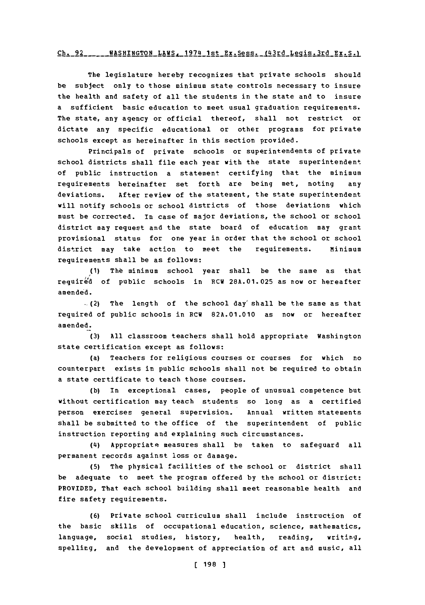## Ch **WAS14TNa!'ON** 2 **LAWS. 197L1 1-q+** RYS~A **fUrd Leai-q.;rd FEwSq-Ch- q2**

The legislature hereby recognizes that private schools should be subject only to those minimum state controls necessary to insure the health and safety of all the students in the state and to insure a sufficient basic education to meet usual graduation requirements. The state, any agency or official thereof, shall not restrict or dictate any specific educational or other programs for private schools except as hereinafter in this section provided.

Principals of private schools or superintendents of private school districts shall file each year with the state superintendent **of** public instruction a statement certifying that the minimum requirements hereinafter set forth are being met, noting any deviations. After review of the statement, the state superintendent will notify schools or school districts of those deviations which must be corrected. In case of major deviations, the school or school district may request and the state board of education may grant provisional status for one year in order that the school or school district may take action to meet the requirements. minimum requirements shall be as follows:

**(1)** The minimum school year shall be the same as that required of public schools in RCW **28A.01.025** as now or hereafter amended.

(2) The length of the school day' shall be the same as that required of public schools in RCW **82A.01.010** as now or hereafter amended.

**(3) All** classroom teachers shall hold appropriate Washington state certification except as follows:

(a) Teachers for religious courses or courses for which no counterpart exists in public schools shall not be required to obtain a state certificate to teach those courses.

**(b)** In exceptional cases, people of unusual competence but without certification may teach students so long as a certified person exercises general supervision. Annual written statements shall be submitted to the office of the superintendent of public instruction reporting and explaining such circumstances.

**(4i)** Appropriate measures shall be taken to safeguard all permanent records against loss or damage.

**(5)** The physical facilities of the school or district shall be adequate to meet the program offered **by** the school or district: PROVIDED, That each school building shall meet reasonable health and fire safety requirements.

**(6)** Private school curriculum shall include instruction of the basic skills of occupational education, science, mathematics, language, social studies, history, health, reading, writing, spelling, and the development of appreciation of art and music, all

**( 198 ]**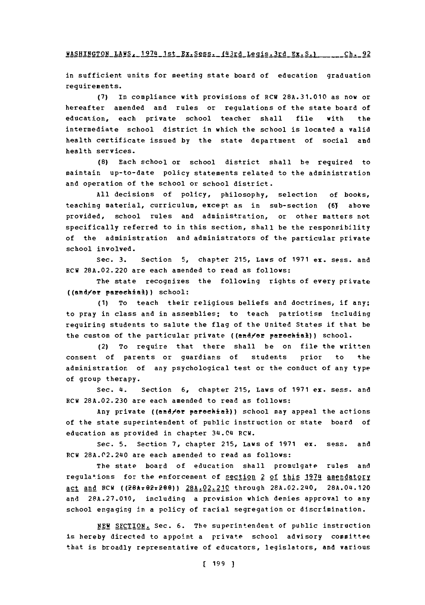**WASHINGTON LAWS, 1974 1st Ex.Sess. 143rd Legis.3rd Ex.S.) \_\_\_\_\_\_ Ch. 92** 

in sufficient units for meeting state board of education graduation requirements.

**(7)** In compliance with provisions **of** RCW **28A.31.010** as now or hereafter amended and rules or regulations of the state board of education, each private school teacher shall file with the intermediate school district in which the school is located a valid health certificate issued **by** the state department of social and health services.

**(8)** Each school or school district shall be required to maintain up-to-date policy statements related to the administration and operation of the school or school district.

**All** decisions of policy, philosophy, selection of books, teaching material, curriculum, except as in sub-section **(61** above provided, school rules and administration, or other matters not specifically referred to in this section, shall be the responsibility of the administration and administrators of the particular private school involved.

Sec. **3.** Section **5,** chapter **215,** Laws of **1971** ex. sess. and RCW **28A.02.220** are each amended to read as follows:

The state recognizes the following rights of every private ((and/er parechial)) school:

**(1)** To teach their religious beliefs and doctrines, if any; to pray in class and in assemblies; to teach patriotism including requiring students to salute the flag of the United States if that be the custom of the particular private ((and/or parochial)) school.

(2) To require that there shall be on file the written consent of parents or guardians of students prior to the administration of any psychological test or the conduct of any type of group therapy.

Sec. **4.** Section **6,** chapter **215,** Laws of **1971** ex. sess. and RCW **28A.02.230** are each amended to read as follows:

Any private ((and/or parochial)) school may appeal the actions of the state superintendent of public instruction or state board of education as provided in chapter **3(4.04** PCW.

Sec. **5.** Section **7,** chapter **215,** Laws **Of 1971** ex. sess. and RCW 28A.02.240 are each amended to read as follows:

The state board of education shall promulgate rules and regulations for the enforcement of <u>section 2 of this 1974</u> amendatory act and RCW ((28h+02+200)) 28A.02.210 through 28A.02.240, 28A.04.120 and **28A.27.010,** including a provision which denies approval to any school engaging in a policy of racial segregation or discrimination.

**NEW** SECTION. Sec. **6.** The superintendent of public instruction is hereby directed to appoint a private school advisory committee that is broadly representative of educators, legislators, and various